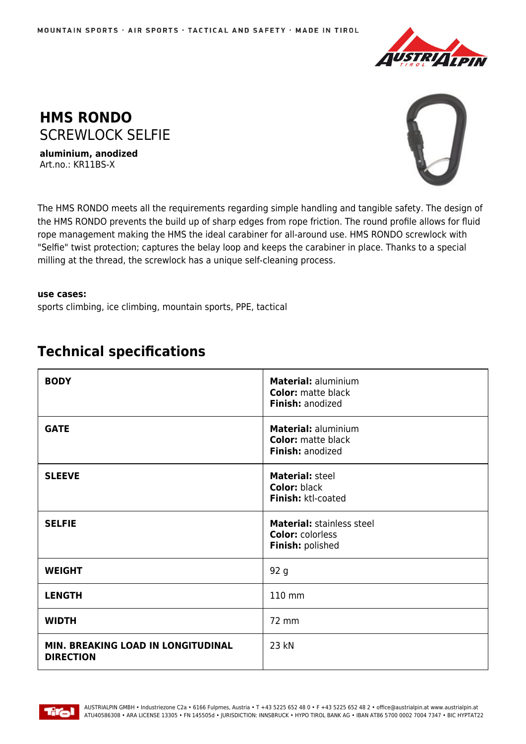



**aluminium, anodized** Art.no.: KR11BS-X



The HMS RONDO meets all the requirements regarding simple handling and tangible safety. The design of the HMS RONDO prevents the build up of sharp edges from rope friction. The round profile allows for fluid rope management making the HMS the ideal carabiner for all-around use. HMS RONDO screwlock with "Selfie" twist protection; captures the belay loop and keeps the carabiner in place. Thanks to a special milling at the thread, the screwlock has a unique self-cleaning process.

## **use cases:**

sports climbing, ice climbing, mountain sports, PPE, tactical

| <b>BODY</b>                                            | Material: aluminium<br><b>Color:</b> matte black<br>Finish: anodized     |
|--------------------------------------------------------|--------------------------------------------------------------------------|
| <b>GATE</b>                                            | Material: aluminium<br><b>Color:</b> matte black<br>Finish: anodized     |
| <b>SLEEVE</b>                                          | <b>Material: steel</b><br><b>Color: black</b><br>Finish: ktl-coated      |
| <b>SELFIE</b>                                          | Material: stainless steel<br><b>Color: colorless</b><br>Finish: polished |
| <b>WEIGHT</b>                                          | 92 g                                                                     |
| <b>LENGTH</b>                                          | 110 mm                                                                   |
| <b>WIDTH</b>                                           | 72 mm                                                                    |
| MIN. BREAKING LOAD IN LONGITUDINAL<br><b>DIRECTION</b> | 23 kN                                                                    |

## **Technical specifications**